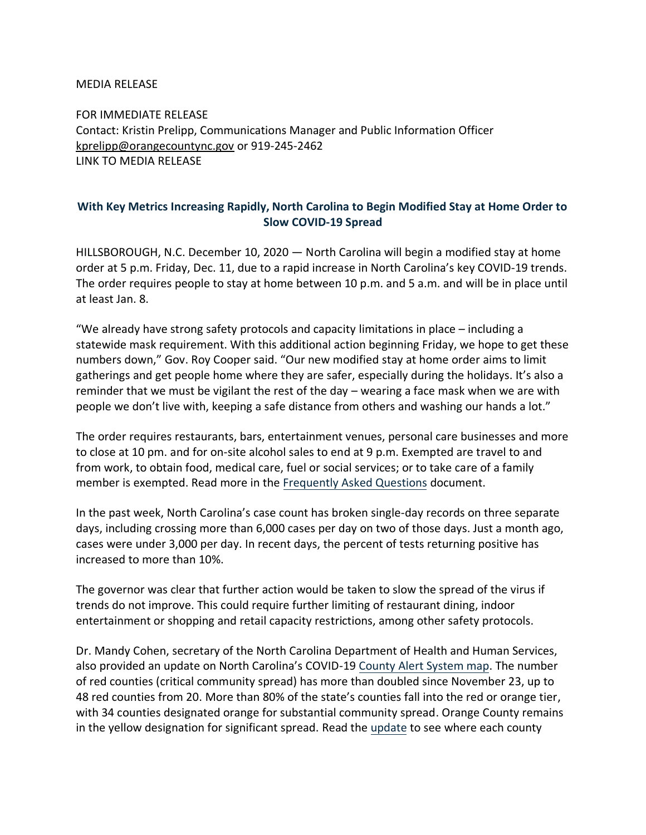## MEDIA RELEASE

FOR IMMEDIATE RELEASE Contact: Kristin Prelipp, Communications Manager and Public Information Officer [kprelipp@orangecountync.gov](mailto:kprelipp@orangecountync.gov) or 919-245-2462 [LINK TO MEDIA RELEASE](https://www.orangecountync.gov/DocumentCenter/View/14090/North-Carolina-to-Begin-Modified-Stay-at-Home-Order-to-Slow-COVID_19-Spread_FINAL)

## **With Key Metrics Increasing Rapidly, North Carolina to Begin Modified Stay at Home Order to Slow COVID-19 Spread**

HILLSBOROUGH, N.C. December 10, 2020 ― North Carolina will begin a modified stay at home order at 5 p.m. Friday, Dec. 11, due to a rapid increase in North Carolina's key COVID-19 trends. The order requires people to stay at home between 10 p.m. and 5 a.m. and will be in place until at least Jan. 8.

"We already have strong safety protocols and capacity limitations in place – including a statewide mask requirement. With this additional action beginning Friday, we hope to get these numbers down," Gov. Roy Cooper said. "Our new modified stay at home order aims to limit gatherings and get people home where they are safer, especially during the holidays. It's also a reminder that we must be vigilant the rest of the day – wearing a face mask when we are with people we don't live with, keeping a safe distance from others and washing our hands a lot."

The order requires restaurants, bars, entertainment venues, personal care businesses and more to close at 10 pm. and for on-site alcohol sales to end at 9 p.m. Exempted are travel to and from work, to obtain food, medical care, fuel or social services; or to take care of a family member is exempted. Read more in the [Frequently Asked Questions](https://urldefense.com/v3/__https:/click.icptrack.com/icp/relay.php?r=39781839&msgid=484955&act=20YB&c=1346310&destination=https*3A*2F*2Ffiles.nc.gov*2Fgovernor*2Fdocuments*2Ffiles*2FEO-181-FAQ.pdf&cf=13425&v=f23fe590c01e5fc4bb11467d6fcd728c0f9175d79e7967730f9b0e036df6d573__;JSUlJSUlJQ!!HYmSToo!Lg4jjnye2ycKO9zqdnipMvkoZVFp3yfmXXXrn45odB6Xis7OFR4Qd-ZZQBv1pEw6nFIx$) document.

In the past week, North Carolina's case count has broken single-day records on three separate days, including crossing more than 6,000 cases per day on two of those days. Just a month ago, cases were under 3,000 per day. In recent days, the percent of tests returning positive has increased to more than 10%.

The governor was clear that further action would be taken to slow the spread of the virus if trends do not improve. This could require further limiting of restaurant dining, indoor entertainment or shopping and retail capacity restrictions, among other safety protocols.

Dr. Mandy Cohen, secretary of the North Carolina Department of Health and Human Services, also provided an update on North Carolina's COVID-19 [County Alert System map.](https://urldefense.com/v3/__https:/click.icptrack.com/icp/relay.php?r=39781839&msgid=484955&act=20YB&c=1346310&destination=https*3A*2F*2Ffiles.nc.gov*2Fcovid*2Fdocuments*2Fdashboard*2FCOVID-19-County-Alert-System-Report.pdf&cf=13425&v=052f1301afa0d6b7ff595e86de055474961d278cd1944475696f2aa5b907a935__;JSUlJSUlJQ!!HYmSToo!Lg4jjnye2ycKO9zqdnipMvkoZVFp3yfmXXXrn45odB6Xis7OFR4Qd-ZZQBv1pCkLIG7V$) The number of red counties (critical community spread) has more than doubled since November 23, up to 48 red counties from 20. More than 80% of the state's counties fall into the red or orange tier, with 34 counties designated orange for substantial community spread. Orange County remains in the yellow designation for significant spread. Read the [update](https://urldefense.com/v3/__https:/click.icptrack.com/icp/relay.php?r=39781839&msgid=484955&act=20YB&c=1346310&destination=https*3A*2F*2Ffiles.nc.gov*2Fcovid*2Fdocuments*2Fdashboard*2FCOVID-19-County-Alert-System-Report.pdf&cf=13425&v=052f1301afa0d6b7ff595e86de055474961d278cd1944475696f2aa5b907a935__;JSUlJSUlJQ!!HYmSToo!Lg4jjnye2ycKO9zqdnipMvkoZVFp3yfmXXXrn45odB6Xis7OFR4Qd-ZZQBv1pCkLIG7V$) to see where each county